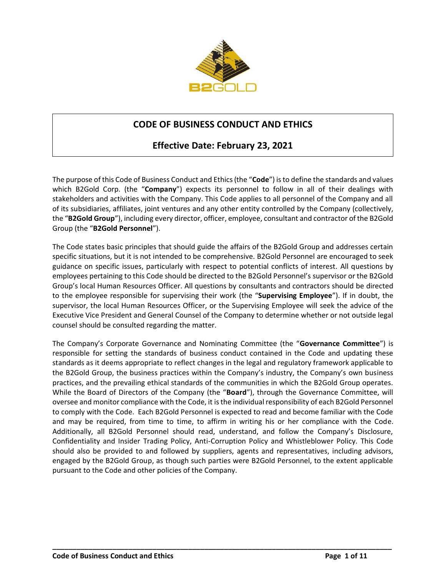

# **CODE OF BUSINESS CONDUCT AND ETHICS**

# **Effective Date: February 23, 2021**

The purpose of this Code of Business Conduct and Ethics (the "**Code**") is to define the standards and values which B2Gold Corp. (the "**Company**") expects its personnel to follow in all of their dealings with stakeholders and activities with the Company. This Code applies to all personnel of the Company and all of its subsidiaries, affiliates, joint ventures and any other entity controlled by the Company (collectively, the "**B2Gold Group**"), including every director, officer, employee, consultant and contractor of the B2Gold Group (the "**B2Gold Personnel**").

The Code states basic principles that should guide the affairs of the B2Gold Group and addresses certain specific situations, but it is not intended to be comprehensive. B2Gold Personnel are encouraged to seek guidance on specific issues, particularly with respect to potential conflicts of interest. All questions by employees pertaining to this Code should be directed to the B2Gold Personnel's supervisor or the B2Gold Group's local Human Resources Officer. All questions by consultants and contractors should be directed to the employee responsible for supervising their work (the "**Supervising Employee**"). If in doubt, the supervisor, the local Human Resources Officer, or the Supervising Employee will seek the advice of the Executive Vice President and General Counsel of the Company to determine whether or not outside legal counsel should be consulted regarding the matter.

The Company's Corporate Governance and Nominating Committee (the "**Governance Committee**") is responsible for setting the standards of business conduct contained in the Code and updating these standards as it deems appropriate to reflect changes in the legal and regulatory framework applicable to the B2Gold Group, the business practices within the Company's industry, the Company's own business practices, and the prevailing ethical standards of the communities in which the B2Gold Group operates. While the Board of Directors of the Company (the "**Board**"), through the Governance Committee, will oversee and monitor compliance with the Code, it is the individual responsibility of each B2Gold Personnel to comply with the Code. Each B2Gold Personnel is expected to read and become familiar with the Code and may be required, from time to time, to affirm in writing his or her compliance with the Code. Additionally, all B2Gold Personnel should read, understand, and follow the Company's Disclosure, Confidentiality and Insider Trading Policy, Anti-Corruption Policy and Whistleblower Policy. This Code should also be provided to and followed by suppliers, agents and representatives, including advisors, engaged by the B2Gold Group, as though such parties were B2Gold Personnel, to the extent applicable pursuant to the Code and other policies of the Company.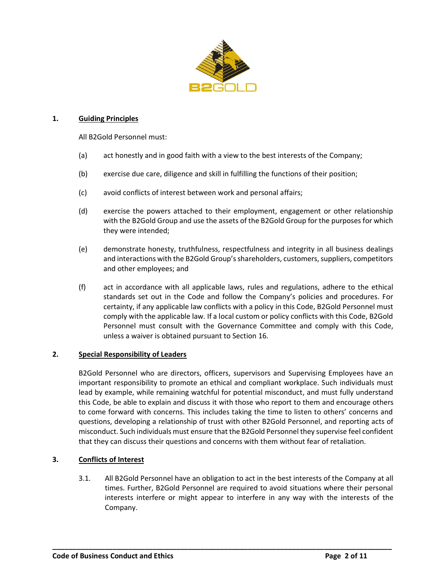

## **1. Guiding Principles**

All B2Gold Personnel must:

- (a) act honestly and in good faith with a view to the best interests of the Company;
- (b) exercise due care, diligence and skill in fulfilling the functions of their position;
- (c) avoid conflicts of interest between work and personal affairs;
- (d) exercise the powers attached to their employment, engagement or other relationship with the B2Gold Group and use the assets of the B2Gold Group for the purposes for which they were intended;
- (e) demonstrate honesty, truthfulness, respectfulness and integrity in all business dealings and interactions with the B2Gold Group's shareholders, customers, suppliers, competitors and other employees; and
- (f) act in accordance with all applicable laws, rules and regulations, adhere to the ethical standards set out in the Code and follow the Company's policies and procedures. For certainty, if any applicable law conflicts with a policy in this Code, B2Gold Personnel must comply with the applicable law. If a local custom or policy conflicts with this Code, B2Gold Personnel must consult with the Governance Committee and comply with this Code, unless a waiver is obtained pursuant to Section [16.](#page-9-0)

#### **2. Special Responsibility of Leaders**

B2Gold Personnel who are directors, officers, supervisors and Supervising Employees have an important responsibility to promote an ethical and compliant workplace. Such individuals must lead by example, while remaining watchful for potential misconduct, and must fully understand this Code, be able to explain and discuss it with those who report to them and encourage others to come forward with concerns. This includes taking the time to listen to others' concerns and questions, developing a relationship of trust with other B2Gold Personnel, and reporting acts of misconduct. Such individuals must ensure that the B2Gold Personnel they supervise feel confident that they can discuss their questions and concerns with them without fear of retaliation.

## **3. Conflicts of Interest**

3.1. All B2Gold Personnel have an obligation to act in the best interests of the Company at all times. Further, B2Gold Personnel are required to avoid situations where their personal interests interfere or might appear to interfere in any way with the interests of the Company.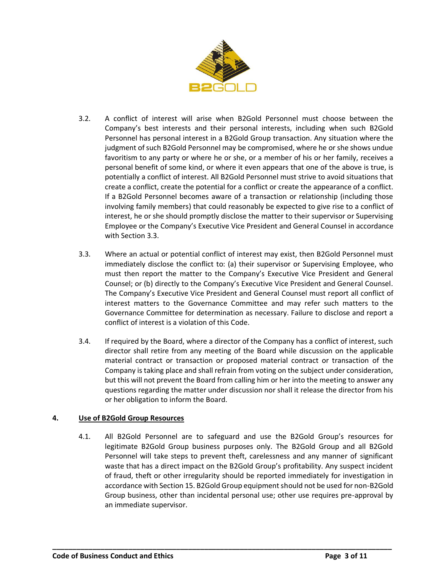

- 3.2. A conflict of interest will arise when B2Gold Personnel must choose between the Company's best interests and their personal interests, including when such B2Gold Personnel has personal interest in a B2Gold Group transaction. Any situation where the judgment of such B2Gold Personnel may be compromised, where he or she shows undue favoritism to any party or where he or she, or a member of his or her family, receives a personal benefit of some kind, or where it even appears that one of the above is true, is potentially a conflict of interest. All B2Gold Personnel must strive to avoid situations that create a conflict, create the potential for a conflict or create the appearance of a conflict. If a B2Gold Personnel becomes aware of a transaction or relationship (including those involving family members) that could reasonably be expected to give rise to a conflict of interest, he or she should promptly disclose the matter to their supervisor or Supervising Employee or the Company's Executive Vice President and General Counsel in accordance with Section [3.3.](#page-2-0)
- <span id="page-2-0"></span>3.3. Where an actual or potential conflict of interest may exist, then B2Gold Personnel must immediately disclose the conflict to: (a) their supervisor or Supervising Employee, who must then report the matter to the Company's Executive Vice President and General Counsel; or (b) directly to the Company's Executive Vice President and General Counsel. The Company's Executive Vice President and General Counsel must report all conflict of interest matters to the Governance Committee and may refer such matters to the Governance Committee for determination as necessary. Failure to disclose and report a conflict of interest is a violation of this Code.
- 3.4. If required by the Board, where a director of the Company has a conflict of interest, such director shall retire from any meeting of the Board while discussion on the applicable material contract or transaction or proposed material contract or transaction of the Company is taking place and shall refrain from voting on the subject under consideration, but this will not prevent the Board from calling him or her into the meeting to answer any questions regarding the matter under discussion nor shall it release the director from his or her obligation to inform the Board.

# **4. Use of B2Gold Group Resources**

4.1. All B2Gold Personnel are to safeguard and use the B2Gold Group's resources for legitimate B2Gold Group business purposes only. The B2Gold Group and all B2Gold Personnel will take steps to prevent theft, carelessness and any manner of significant waste that has a direct impact on the B2Gold Group's profitability. Any suspect incident of fraud, theft or other irregularity should be reported immediately for investigation in accordance with Sectio[n 15.](#page-8-0) B2Gold Group equipment should not be used for non-B2Gold Group business, other than incidental personal use; other use requires pre-approval by an immediate supervisor.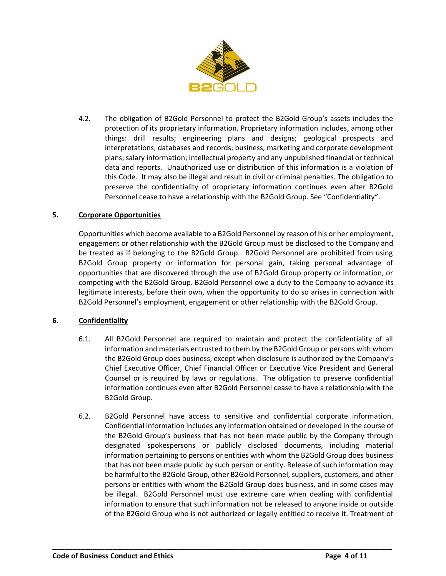

4.2. The obligation of B2Gold Personnel to protect the B2Gold Group's assets includes the protection of its proprietary information. Proprietary information includes, among other things: drill results; engineering plans and designs; geological prospects and interpretations; databases and records; business, marketing and corporate development plans; salary information; intellectual property and any unpublished financial or technical data and reports. Unauthorized use or distribution of this information is a violation of this Code. It may also be illegal and result in civil or criminal penalties. The obligation to preserve the confidentiality of proprietary information continues even after B2Gold Personnel cease to have a relationship with the B2Gold Group. See "Confidentiality".

## **5. Corporate Opportunities**

Opportunities which become available to a B2Gold Personnel by reason of his or her employment, engagement or other relationship with the B2Gold Group must be disclosed to the Company and be treated as if belonging to the B2Gold Group. B2Gold Personnel are prohibited from using B2Gold Group property or information for personal gain, taking personal advantage of opportunities that are discovered through the use of B2Gold Group property or information, or competing with the B2Gold Group. B2Gold Personnel owe a duty to the Company to advance its legitimate interests, before their own, when the opportunity to do so arises in connection with B2Gold Personnel's employment, engagement or other relationship with the B2Gold Group.

## **6. Confidentiality**

- 6.1. All B2Gold Personnel are required to maintain and protect the confidentiality of all information and materials entrusted to them by the B2Gold Group or persons with whom the B2Gold Group does business, except when disclosure is authorized by the Company's Chief Executive Officer, Chief Financial Officer or Executive Vice President and General Counsel or is required by laws or regulations. The obligation to preserve confidential information continues even after B2Gold Personnel cease to have a relationship with the B2Gold Group.
- 6.2. B2Gold Personnel have access to sensitive and confidential corporate information. Confidential information includes any information obtained or developed in the course of the B2Gold Group's business that has not been made public by the Company through designated spokespersons or publicly disclosed documents, including material information pertaining to persons or entities with whom the B2Gold Group does business that has not been made public by such person or entity. Release of such information may be harmful to the B2Gold Group, other B2Gold Personnel, suppliers, customers, and other persons or entities with whom the B2Gold Group does business, and in some cases may be illegal. B2Gold Personnel must use extreme care when dealing with confidential information to ensure that such information not be released to anyone inside or outside of the B2Gold Group who is not authorized or legally entitled to receive it. Treatment of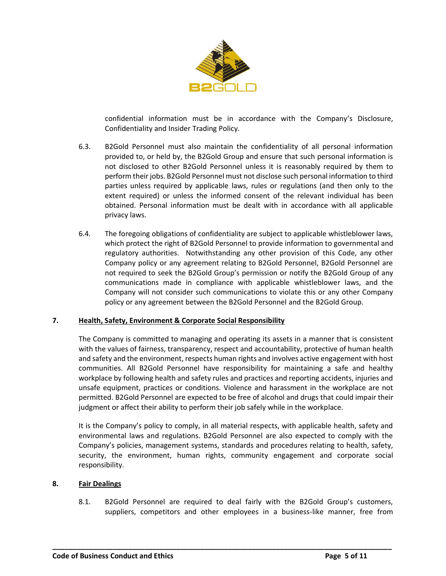

confidential information must be in accordance with the Company's Disclosure, Confidentiality and Insider Trading Policy.

- 6.3. B2Gold Personnel must also maintain the confidentiality of all personal information provided to, or held by, the B2Gold Group and ensure that such personal information is not disclosed to other B2Gold Personnel unless it is reasonably required by them to perform their jobs. B2Gold Personnel must not disclose such personal information to third parties unless required by applicable laws, rules or regulations (and then only to the extent required) or unless the informed consent of the relevant individual has been obtained. Personal information must be dealt with in accordance with all applicable privacy laws.
- 6.4. The foregoing obligations of confidentiality are subject to applicable whistleblower laws, which protect the right of B2Gold Personnel to provide information to governmental and regulatory authorities. Notwithstanding any other provision of this Code, any other Company policy or any agreement relating to B2Gold Personnel, B2Gold Personnel are not required to seek the B2Gold Group's permission or notify the B2Gold Group of any communications made in compliance with applicable whistleblower laws, and the Company will not consider such communications to violate this or any other Company policy or any agreement between the B2Gold Personnel and the B2Gold Group.

## **7. Health, Safety, Environment & Corporate Social Responsibility**

The Company is committed to managing and operating its assets in a manner that is consistent with the values of fairness, transparency, respect and accountability, protective of human health and safety and the environment, respects human rights and involves active engagement with host communities. All B2Gold Personnel have responsibility for maintaining a safe and healthy workplace by following health and safety rules and practices and reporting accidents, injuries and unsafe equipment, practices or conditions. Violence and harassment in the workplace are not permitted. B2Gold Personnel are expected to be free of alcohol and drugs that could impair their judgment or affect their ability to perform their job safely while in the workplace.

It is the Company's policy to comply, in all material respects, with applicable health, safety and environmental laws and regulations. B2Gold Personnel are also expected to comply with the Company's policies, management systems, standards and procedures relating to health, safety, security, the environment, human rights, community engagement and corporate social responsibility.

## **8. Fair Dealings**

8.1. B2Gold Personnel are required to deal fairly with the B2Gold Group's customers, suppliers, competitors and other employees in a business-like manner, free from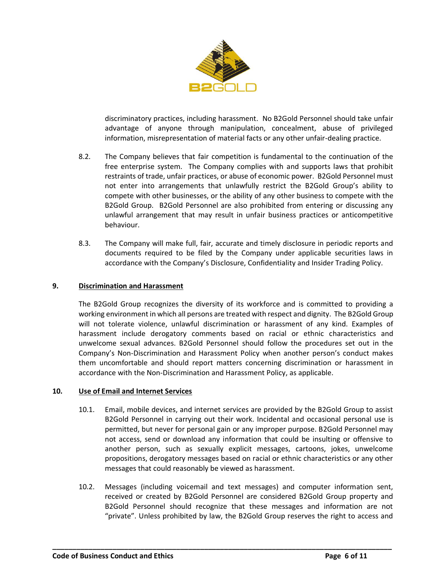

discriminatory practices, including harassment. No B2Gold Personnel should take unfair advantage of anyone through manipulation, concealment, abuse of privileged information, misrepresentation of material facts or any other unfair-dealing practice.

- 8.2. The Company believes that fair competition is fundamental to the continuation of the free enterprise system. The Company complies with and supports laws that prohibit restraints of trade, unfair practices, or abuse of economic power. B2Gold Personnel must not enter into arrangements that unlawfully restrict the B2Gold Group's ability to compete with other businesses, or the ability of any other business to compete with the B2Gold Group. B2Gold Personnel are also prohibited from entering or discussing any unlawful arrangement that may result in unfair business practices or anticompetitive behaviour.
- 8.3. The Company will make full, fair, accurate and timely disclosure in periodic reports and documents required to be filed by the Company under applicable securities laws in accordance with the Company's Disclosure, Confidentiality and Insider Trading Policy.

## **9. Discrimination and Harassment**

The B2Gold Group recognizes the diversity of its workforce and is committed to providing a working environment in which all persons are treated with respect and dignity. The B2Gold Group will not tolerate violence, unlawful discrimination or harassment of any kind. Examples of harassment include derogatory comments based on racial or ethnic characteristics and unwelcome sexual advances. B2Gold Personnel should follow the procedures set out in the Company's Non-Discrimination and Harassment Policy when another person's conduct makes them uncomfortable and should report matters concerning discrimination or harassment in accordance with the Non-Discrimination and Harassment Policy, as applicable.

## **10. Use of Email and Internet Services**

- 10.1. Email, mobile devices, and internet services are provided by the B2Gold Group to assist B2Gold Personnel in carrying out their work. Incidental and occasional personal use is permitted, but never for personal gain or any improper purpose. B2Gold Personnel may not access, send or download any information that could be insulting or offensive to another person, such as sexually explicit messages, cartoons, jokes, unwelcome propositions, derogatory messages based on racial or ethnic characteristics or any other messages that could reasonably be viewed as harassment.
- 10.2. Messages (including voicemail and text messages) and computer information sent, received or created by B2Gold Personnel are considered B2Gold Group property and B2Gold Personnel should recognize that these messages and information are not "private". Unless prohibited by law, the B2Gold Group reserves the right to access and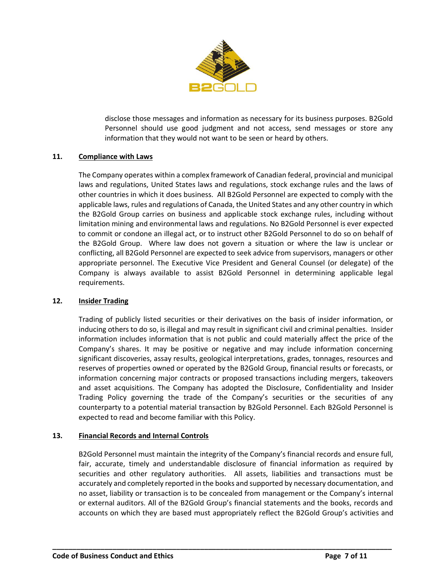

disclose those messages and information as necessary for its business purposes. B2Gold Personnel should use good judgment and not access, send messages or store any information that they would not want to be seen or heard by others.

## **11. Compliance with Laws**

The Company operates within a complex framework of Canadian federal, provincial and municipal laws and regulations, United States laws and regulations, stock exchange rules and the laws of other countries in which it does business. All B2Gold Personnel are expected to comply with the applicable laws, rules and regulations of Canada, the United States and any other country in which the B2Gold Group carries on business and applicable stock exchange rules, including without limitation mining and environmental laws and regulations. No B2Gold Personnel is ever expected to commit or condone an illegal act, or to instruct other B2Gold Personnel to do so on behalf of the B2Gold Group. Where law does not govern a situation or where the law is unclear or conflicting, all B2Gold Personnel are expected to seek advice from supervisors, managers or other appropriate personnel. The Executive Vice President and General Counsel (or delegate) of the Company is always available to assist B2Gold Personnel in determining applicable legal requirements.

## **12. Insider Trading**

Trading of publicly listed securities or their derivatives on the basis of insider information, or inducing others to do so, is illegal and may result in significant civil and criminal penalties. Insider information includes information that is not public and could materially affect the price of the Company's shares. It may be positive or negative and may include information concerning significant discoveries, assay results, geological interpretations, grades, tonnages, resources and reserves of properties owned or operated by the B2Gold Group, financial results or forecasts, or information concerning major contracts or proposed transactions including mergers, takeovers and asset acquisitions. The Company has adopted the Disclosure, Confidentiality and Insider Trading Policy governing the trade of the Company's securities or the securities of any counterparty to a potential material transaction by B2Gold Personnel. Each B2Gold Personnel is expected to read and become familiar with this Policy.

## **13. Financial Records and Internal Controls**

B2Gold Personnel must maintain the integrity of the Company's financial records and ensure full, fair, accurate, timely and understandable disclosure of financial information as required by securities and other regulatory authorities. All assets, liabilities and transactions must be accurately and completely reported in the books and supported by necessary documentation, and no asset, liability or transaction is to be concealed from management or the Company's internal or external auditors. All of the B2Gold Group's financial statements and the books, records and accounts on which they are based must appropriately reflect the B2Gold Group's activities and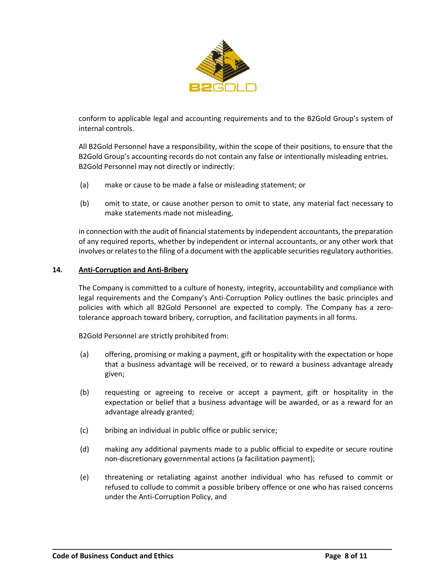

conform to applicable legal and accounting requirements and to the B2Gold Group's system of internal controls.

All B2Gold Personnel have a responsibility, within the scope of their positions, to ensure that the B2Gold Group's accounting records do not contain any false or intentionally misleading entries. B2Gold Personnel may not directly or indirectly:

- (a) make or cause to be made a false or misleading statement; or
- (b) omit to state, or cause another person to omit to state, any material fact necessary to make statements made not misleading,

in connection with the audit of financial statements by independent accountants, the preparation of any required reports, whether by independent or internal accountants, or any other work that involves or relates to the filing of a document with the applicable securities regulatory authorities.

## **14. Anti-Corruption and Anti-Bribery**

The Company is committed to a culture of honesty, integrity, accountability and compliance with legal requirements and the Company's Anti-Corruption Policy outlines the basic principles and policies with which all B2Gold Personnel are expected to comply. The Company has a zerotolerance approach toward bribery, corruption, and facilitation payments in all forms.

B2Gold Personnel are strictly prohibited from:

- (a) offering, promising or making a payment, gift or hospitality with the expectation or hope that a business advantage will be received, or to reward a business advantage already given;
- (b) requesting or agreeing to receive or accept a payment, gift or hospitality in the expectation or belief that a business advantage will be awarded, or as a reward for an advantage already granted;
- (c) bribing an individual in public office or public service;
- (d) making any additional payments made to a public official to expedite or secure routine non-discretionary governmental actions (a facilitation payment);
- (e) threatening or retaliating against another individual who has refused to commit or refused to collude to commit a possible bribery offence or one who has raised concerns under the Anti-Corruption Policy, and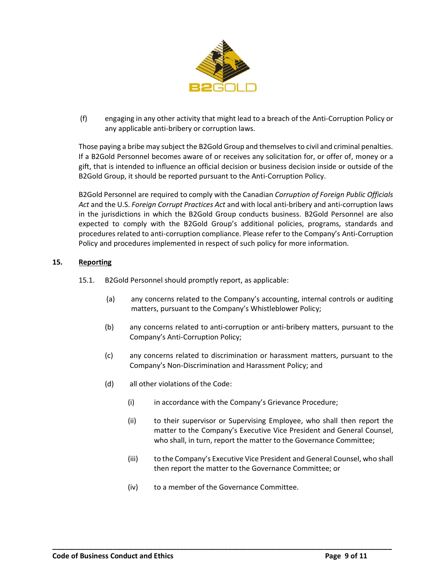

(f) engaging in any other activity that might lead to a breach of the Anti-Corruption Policy or any applicable anti-bribery or corruption laws.

Those paying a bribe may subject the B2Gold Group and themselves to civil and criminal penalties. If a B2Gold Personnel becomes aware of or receives any solicitation for, or offer of, money or a gift, that is intended to influence an official decision or business decision inside or outside of the B2Gold Group, it should be reported pursuant to the Anti-Corruption Policy.

B2Gold Personnel are required to comply with the Canadian *Corruption of Foreign Public Officials Act* and the U.S. *Foreign Corrupt Practices Act* and with local anti-bribery and anti-corruption laws in the jurisdictions in which the B2Gold Group conducts business. B2Gold Personnel are also expected to comply with the B2Gold Group's additional policies, programs, standards and procedures related to anti-corruption compliance. Please refer to the Company's Anti-Corruption Policy and procedures implemented in respect of such policy for more information.

## <span id="page-8-0"></span>**15. Reporting**

- 15.1. B2Gold Personnel should promptly report, as applicable:
	- (a) any concerns related to the Company's accounting, internal controls or auditing matters, pursuant to the Company's Whistleblower Policy;
	- (b) any concerns related to anti-corruption or anti-bribery matters, pursuant to the Company's Anti-Corruption Policy;
	- (c) any concerns related to discrimination or harassment matters, pursuant to the Company's Non-Discrimination and Harassment Policy; and
	- (d) all other violations of the Code:
		- (i) in accordance with the Company's Grievance Procedure;
		- (ii) to their supervisor or Supervising Employee, who shall then report the matter to the Company's Executive Vice President and General Counsel, who shall, in turn, report the matter to the Governance Committee;
		- (iii) to the Company's Executive Vice President and General Counsel, who shall then report the matter to the Governance Committee; or
		- (iv) to a member of the Governance Committee.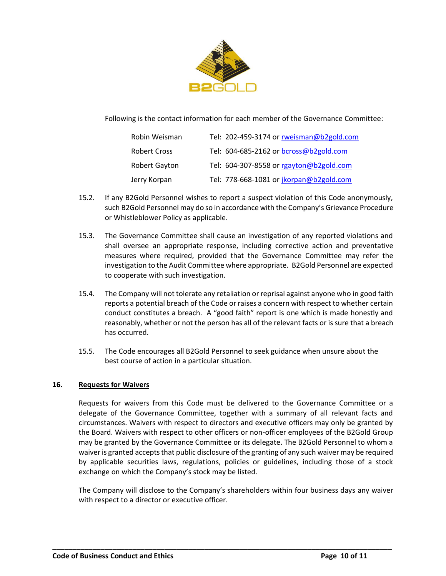

Following is the contact information for each member of the Governance Committee:

| Robin Weisman        | Tel: 202-459-3174 or rweisman@b2gold.com |
|----------------------|------------------------------------------|
| <b>Robert Cross</b>  | Tel: 604-685-2162 or bcross@b2gold.com   |
| <b>Robert Gayton</b> | Tel: 604-307-8558 or rgayton@b2gold.com  |
| Jerry Korpan         | Tel: 778-668-1081 or jkorpan@b2gold.com  |

- 15.2. If any B2Gold Personnel wishes to report a suspect violation of this Code anonymously, such B2Gold Personnel may do so in accordance with the Company's Grievance Procedure or Whistleblower Policy as applicable.
- 15.3. The Governance Committee shall cause an investigation of any reported violations and shall oversee an appropriate response, including corrective action and preventative measures where required, provided that the Governance Committee may refer the investigation to the Audit Committee where appropriate. B2Gold Personnel are expected to cooperate with such investigation.
- 15.4. The Company will not tolerate any retaliation or reprisal against anyone who in good faith reports a potential breach of the Code or raises a concern with respect to whether certain conduct constitutes a breach. A "good faith" report is one which is made honestly and reasonably, whether or not the person has all of the relevant facts or is sure that a breach has occurred.
- 15.5. The Code encourages all B2Gold Personnel to seek guidance when unsure about the best course of action in a particular situation.

## <span id="page-9-0"></span>**16. Requests for Waivers**

Requests for waivers from this Code must be delivered to the Governance Committee or a delegate of the Governance Committee, together with a summary of all relevant facts and circumstances. Waivers with respect to directors and executive officers may only be granted by the Board. Waivers with respect to other officers or non-officer employees of the B2Gold Group may be granted by the Governance Committee or its delegate. The B2Gold Personnel to whom a waiver is granted accepts that public disclosure of the granting of any such waiver may be required by applicable securities laws, regulations, policies or guidelines, including those of a stock exchange on which the Company's stock may be listed.

The Company will disclose to the Company's shareholders within four business days any waiver with respect to a director or executive officer.